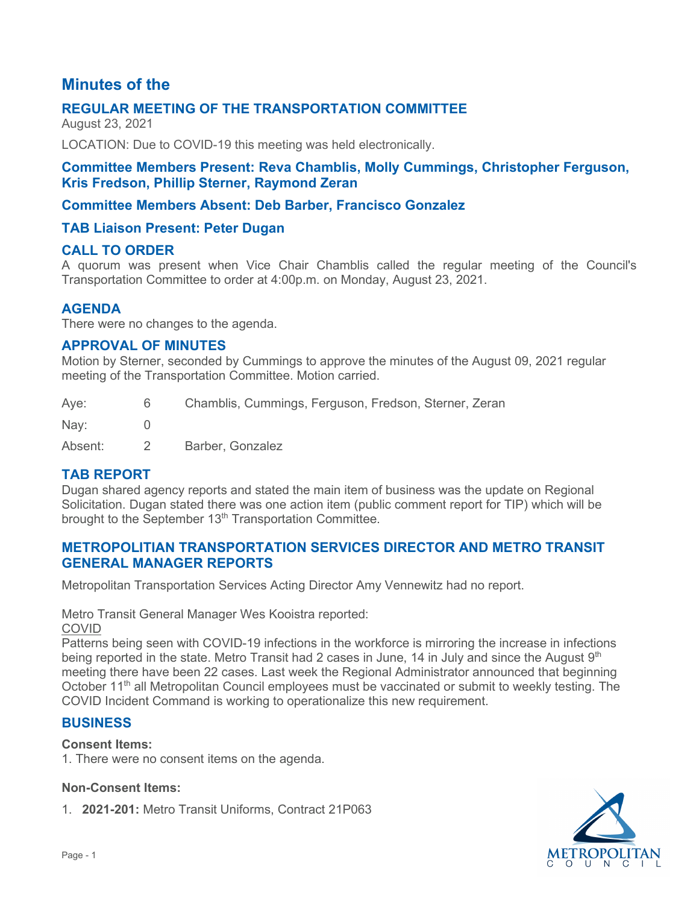# **Minutes of the**

# **REGULAR MEETING OF THE TRANSPORTATION COMMITTEE**

August 23, 2021

LOCATION: Due to COVID-19 this meeting was held electronically.

# **Committee Members Present: Reva Chamblis, Molly Cummings, Christopher Ferguson, Kris Fredson, Phillip Sterner, Raymond Zeran**

# **Committee Members Absent: Deb Barber, Francisco Gonzalez**

# **TAB Liaison Present: Peter Dugan**

### **CALL TO ORDER**

A quorum was present when Vice Chair Chamblis called the regular meeting of the Council's Transportation Committee to order at 4:00p.m. on Monday, August 23, 2021.

### **AGENDA**

There were no changes to the agenda.

### **APPROVAL OF MINUTES**

Motion by Sterner, seconded by Cummings to approve the minutes of the August 09, 2021 regular meeting of the Transportation Committee. Motion carried.

| Aye:    | 6 | Chamblis, Cummings, Ferguson, Fredson, Sterner, Zeran |
|---------|---|-------------------------------------------------------|
| Nay:    |   |                                                       |
| Absent: |   | Barber, Gonzalez                                      |

# **TAB REPORT**

Dugan shared agency reports and stated the main item of business was the update on Regional Solicitation. Dugan stated there was one action item (public comment report for TIP) which will be brought to the September 13<sup>th</sup> Transportation Committee.

# **METROPOLITIAN TRANSPORTATION SERVICES DIRECTOR AND METRO TRANSIT GENERAL MANAGER REPORTS**

Metropolitan Transportation Services Acting Director Amy Vennewitz had no report.

Metro Transit General Manager Wes Kooistra reported:

COVID

Patterns being seen with COVID-19 infections in the workforce is mirroring the increase in infections being reported in the state. Metro Transit had 2 cases in June, 14 in July and since the August 9<sup>th</sup> meeting there have been 22 cases. Last week the Regional Administrator announced that beginning October 11<sup>th</sup> all Metropolitan Council employees must be vaccinated or submit to weekly testing. The COVID Incident Command is working to operationalize this new requirement.

### **BUSINESS**

#### **Consent Items:**

1. There were no consent items on the agenda.

#### **Non-Consent Items:**

1. **2021-201:** Metro Transit Uniforms, Contract 21P063

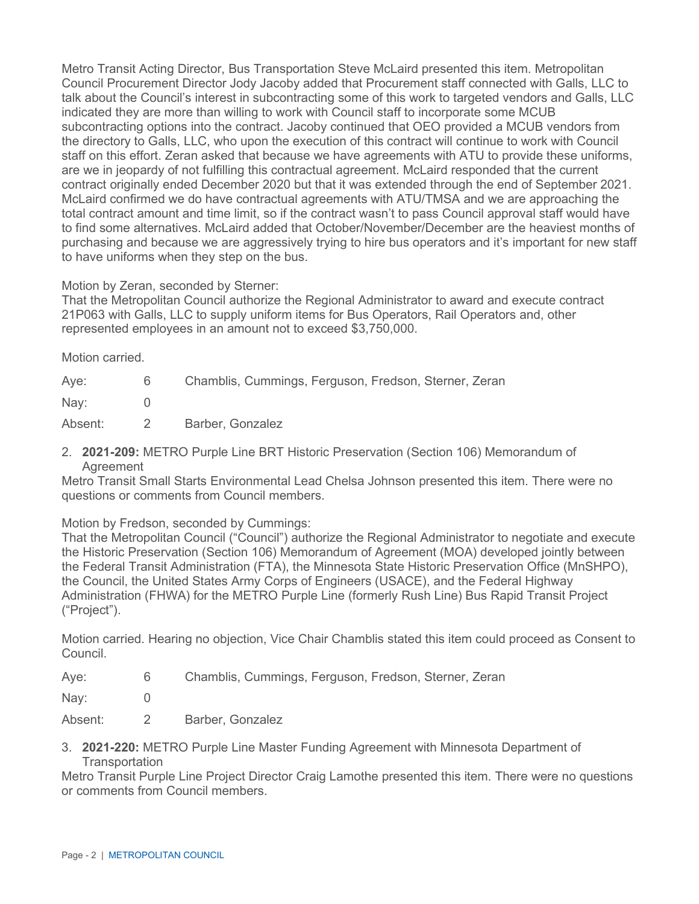Metro Transit Acting Director, Bus Transportation Steve McLaird presented this item. Metropolitan Council Procurement Director Jody Jacoby added that Procurement staff connected with Galls, LLC to talk about the Council's interest in subcontracting some of this work to targeted vendors and Galls, LLC indicated they are more than willing to work with Council staff to incorporate some MCUB subcontracting options into the contract. Jacoby continued that OEO provided a MCUB vendors from the directory to Galls, LLC, who upon the execution of this contract will continue to work with Council staff on this effort. Zeran asked that because we have agreements with ATU to provide these uniforms, are we in jeopardy of not fulfilling this contractual agreement. McLaird responded that the current contract originally ended December 2020 but that it was extended through the end of September 2021. McLaird confirmed we do have contractual agreements with ATU/TMSA and we are approaching the total contract amount and time limit, so if the contract wasn't to pass Council approval staff would have to find some alternatives. McLaird added that October/November/December are the heaviest months of purchasing and because we are aggressively trying to hire bus operators and it's important for new staff to have uniforms when they step on the bus.

Motion by Zeran, seconded by Sterner:

That the Metropolitan Council authorize the Regional Administrator to award and execute contract 21P063 with Galls, LLC to supply uniform items for Bus Operators, Rail Operators and, other represented employees in an amount not to exceed \$3,750,000.

Motion carried.

| Aye:    | 6. | Chamblis, Cummings, Ferguson, Fredson, Sterner, Zeran |
|---------|----|-------------------------------------------------------|
| Nay:    |    |                                                       |
| Absent: |    | Barber, Gonzalez                                      |

2. **2021-209:** METRO Purple Line BRT Historic Preservation (Section 106) Memorandum of **Agreement** 

Metro Transit Small Starts Environmental Lead Chelsa Johnson presented this item. There were no questions or comments from Council members.

Motion by Fredson, seconded by Cummings:

That the Metropolitan Council ("Council") authorize the Regional Administrator to negotiate and execute the Historic Preservation (Section 106) Memorandum of Agreement (MOA) developed jointly between the Federal Transit Administration (FTA), the Minnesota State Historic Preservation Office (MnSHPO), the Council, the United States Army Corps of Engineers (USACE), and the Federal Highway Administration (FHWA) for the METRO Purple Line (formerly Rush Line) Bus Rapid Transit Project ("Project").

Motion carried. Hearing no objection, Vice Chair Chamblis stated this item could proceed as Consent to Council.

| Aye: |  |  | Chamblis, Cummings, Ferguson, Fredson, Sterner, Zeran |  |  |  |  |
|------|--|--|-------------------------------------------------------|--|--|--|--|
|------|--|--|-------------------------------------------------------|--|--|--|--|

Nay: 0

Absent: 2 Barber, Gonzalez

3. **2021-220:** METRO Purple Line Master Funding Agreement with Minnesota Department of **Transportation** 

Metro Transit Purple Line Project Director Craig Lamothe presented this item. There were no questions or comments from Council members.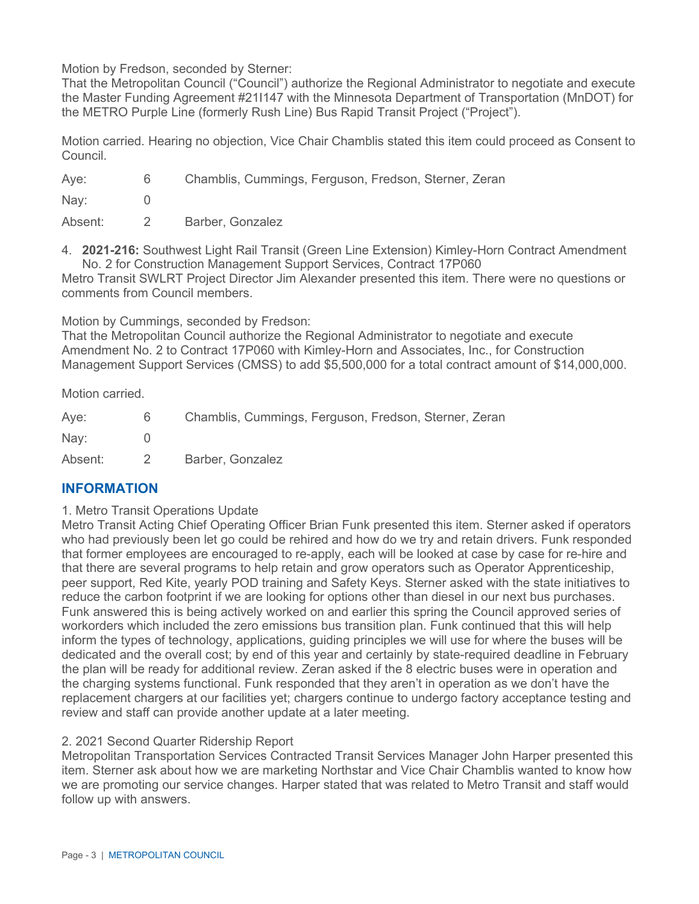Motion by Fredson, seconded by Sterner:

That the Metropolitan Council ("Council") authorize the Regional Administrator to negotiate and execute the Master Funding Agreement #21I147 with the Minnesota Department of Transportation (MnDOT) for the METRO Purple Line (formerly Rush Line) Bus Rapid Transit Project ("Project").

Motion carried. Hearing no objection, Vice Chair Chamblis stated this item could proceed as Consent to Council.

| Aye: | Chamblis, Cummings, Ferguson, Fredson, Sterner, Zeran |
|------|-------------------------------------------------------|
| Nay: |                                                       |

Absent: 2 Barber, Gonzalez

4. **2021-216:** Southwest Light Rail Transit (Green Line Extension) Kimley-Horn Contract Amendment No. 2 for Construction Management Support Services, Contract 17P060

Metro Transit SWLRT Project Director Jim Alexander presented this item. There were no questions or comments from Council members.

Motion by Cummings, seconded by Fredson:

That the Metropolitan Council authorize the Regional Administrator to negotiate and execute Amendment No. 2 to Contract 17P060 with Kimley-Horn and Associates, Inc., for Construction Management Support Services (CMSS) to add \$5,500,000 for a total contract amount of \$14,000,000.

Motion carried.

| Aye:    | 6 | Chamblis, Cummings, Ferguson, Fredson, Sterner, Zeran |
|---------|---|-------------------------------------------------------|
| Nay:    |   |                                                       |
| Absent: |   | Barber, Gonzalez                                      |

# **INFORMATION**

### 1. Metro Transit Operations Update

Metro Transit Acting Chief Operating Officer Brian Funk presented this item. Sterner asked if operators who had previously been let go could be rehired and how do we try and retain drivers. Funk responded that former employees are encouraged to re-apply, each will be looked at case by case for re-hire and that there are several programs to help retain and grow operators such as Operator Apprenticeship, peer support, Red Kite, yearly POD training and Safety Keys. Sterner asked with the state initiatives to reduce the carbon footprint if we are looking for options other than diesel in our next bus purchases. Funk answered this is being actively worked on and earlier this spring the Council approved series of workorders which included the zero emissions bus transition plan. Funk continued that this will help inform the types of technology, applications, guiding principles we will use for where the buses will be dedicated and the overall cost; by end of this year and certainly by state-required deadline in February the plan will be ready for additional review. Zeran asked if the 8 electric buses were in operation and the charging systems functional. Funk responded that they aren't in operation as we don't have the replacement chargers at our facilities yet; chargers continue to undergo factory acceptance testing and review and staff can provide another update at a later meeting.

### 2. 2021 Second Quarter Ridership Report

Metropolitan Transportation Services Contracted Transit Services Manager John Harper presented this item. Sterner ask about how we are marketing Northstar and Vice Chair Chamblis wanted to know how we are promoting our service changes. Harper stated that was related to Metro Transit and staff would follow up with answers.